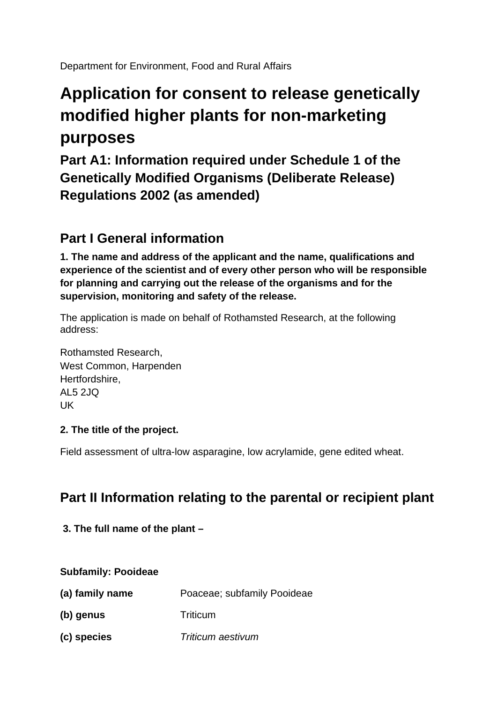Department for Environment, Food and Rural Affairs

# **Application for consent to release genetically modified higher plants for non-marketing purposes**

**Part A1: Information required under Schedule 1 of the Genetically Modified Organisms (Deliberate Release) Regulations 2002 (as amended)**

# **Part I General information**

**1. The name and address of the applicant and the name, qualifications and experience of the scientist and of every other person who will be responsible for planning and carrying out the release of the organisms and for the supervision, monitoring and safety of the release.** 

The application is made on behalf of Rothamsted Research, at the following address:

Rothamsted Research, West Common, Harpenden Hertfordshire, AL5 2JQ UK

# **2. The title of the project.**

Field assessment of ultra-low asparagine, low acrylamide, gene edited wheat.

# **Part II Information relating to the parental or recipient plant**

**3. The full name of the plant –**

#### **Subfamily: Pooideae**

| (a) family name | Poaceae; subfamily Pooideae |
|-----------------|-----------------------------|
| (b) genus       | <b>Triticum</b>             |
| (c) species     | Triticum aestivum           |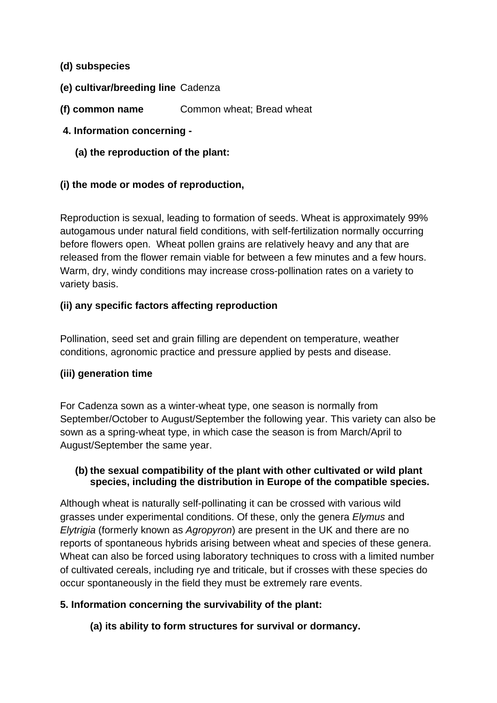#### **(d) subspecies**

- **(e) cultivar/breeding line** Cadenza
- **(f) common name** Common wheat; Bread wheat
- **4. Information concerning -**
	- **(a) the reproduction of the plant:**

### **(i) the mode or modes of reproduction,**

Reproduction is sexual, leading to formation of seeds. Wheat is approximately 99% autogamous under natural field conditions, with self-fertilization normally occurring before flowers open. Wheat pollen grains are relatively heavy and any that are released from the flower remain viable for between a few minutes and a few hours. Warm, dry, windy conditions may increase cross-pollination rates on a variety to variety basis.

### **(ii) any specific factors affecting reproduction**

Pollination, seed set and grain filling are dependent on temperature, weather conditions, agronomic practice and pressure applied by pests and disease.

#### **(iii) generation time**

For Cadenza sown as a winter-wheat type, one season is normally from September/October to August/September the following year. This variety can also be sown as a spring-wheat type, in which case the season is from March/April to August/September the same year.

#### **(b) the sexual compatibility of the plant with other cultivated or wild plant species, including the distribution in Europe of the compatible species.**

Although wheat is naturally self-pollinating it can be crossed with various wild grasses under experimental conditions. Of these, only the genera *Elymus* and *Elytrigia* (formerly known as *Agropyron*) are present in the UK and there are no reports of spontaneous hybrids arising between wheat and species of these genera. Wheat can also be forced using laboratory techniques to cross with a limited number of cultivated cereals, including rye and triticale, but if crosses with these species do occur spontaneously in the field they must be extremely rare events.

#### **5. Information concerning the survivability of the plant:**

**(a) its ability to form structures for survival or dormancy.**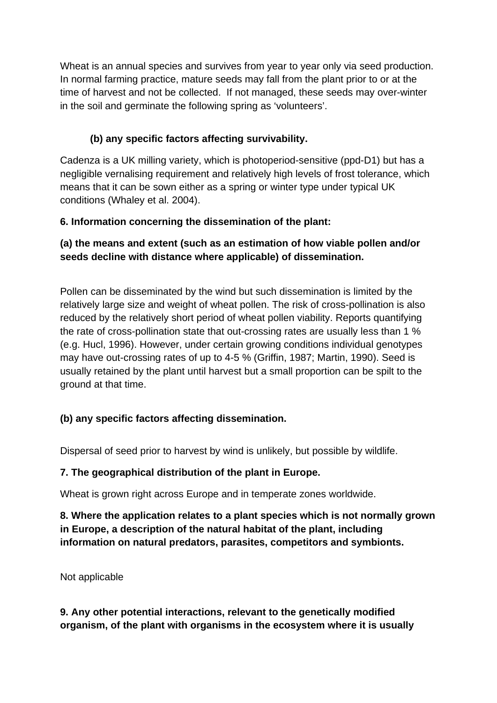Wheat is an annual species and survives from year to year only via seed production. In normal farming practice, mature seeds may fall from the plant prior to or at the time of harvest and not be collected. If not managed, these seeds may over-winter in the soil and germinate the following spring as 'volunteers'.

# **(b) any specific factors affecting survivability.**

Cadenza is a UK milling variety, which is photoperiod-sensitive (ppd-D1) but has a negligible vernalising requirement and relatively high levels of frost tolerance, which means that it can be sown either as a spring or winter type under typical UK conditions (Whaley et al. 2004).

# **6. Information concerning the dissemination of the plant:**

# **(a) the means and extent (such as an estimation of how viable pollen and/or seeds decline with distance where applicable) of dissemination.**

Pollen can be disseminated by the wind but such dissemination is limited by the relatively large size and weight of wheat pollen. The risk of cross-pollination is also reduced by the relatively short period of wheat pollen viability. Reports quantifying the rate of cross-pollination state that out-crossing rates are usually less than 1 % (e.g. Hucl, 1996). However, under certain growing conditions individual genotypes may have out-crossing rates of up to 4-5 % (Griffin, 1987; Martin, 1990). Seed is usually retained by the plant until harvest but a small proportion can be spilt to the ground at that time.

# **(b) any specific factors affecting dissemination.**

Dispersal of seed prior to harvest by wind is unlikely, but possible by wildlife.

# **7. The geographical distribution of the plant in Europe.**

Wheat is grown right across Europe and in temperate zones worldwide.

**8. Where the application relates to a plant species which is not normally grown in Europe, a description of the natural habitat of the plant, including information on natural predators, parasites, competitors and symbionts.**

Not applicable

**9. Any other potential interactions, relevant to the genetically modified organism, of the plant with organisms in the ecosystem where it is usually**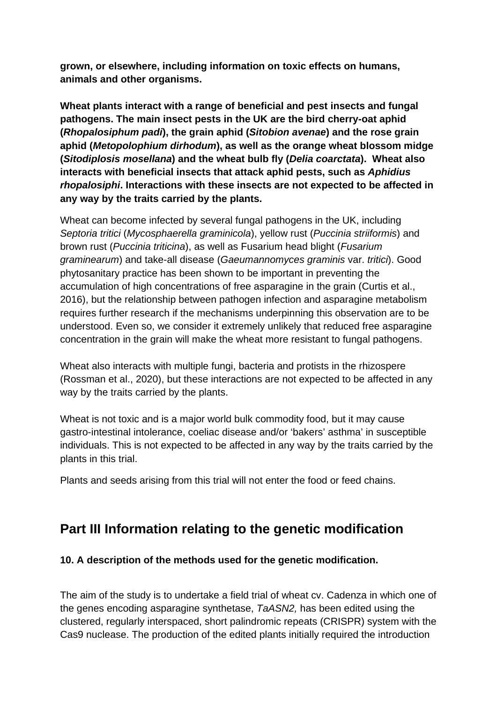**grown, or elsewhere, including information on toxic effects on humans, animals and other organisms.**

**Wheat plants interact with a range of beneficial and pest insects and fungal pathogens. The main insect pests in the UK are the bird cherry-oat aphid (***Rhopalosiphum padi***), the grain aphid (***Sitobion avenae***) and the rose grain aphid (***Metopolophium dirhodum***), as well as the orange wheat blossom midge (***Sitodiplosis mosellana***) and the wheat bulb fly (***Delia coarctata***). Wheat also interacts with beneficial insects that attack aphid pests, such as** *Aphidius rhopalosiphi***. Interactions with these insects are not expected to be affected in any way by the traits carried by the plants.** 

Wheat can become infected by several fungal pathogens in the UK, including *Septoria tritici* (*Mycosphaerella graminicola*), yellow rust (*Puccinia striiformis*) and brown rust (*Puccinia triticina*), as well as Fusarium head blight (*Fusarium graminearum*) and take-all disease (*Gaeumannomyces graminis* var. *tritici*). Good phytosanitary practice has been shown to be important in preventing the accumulation of high concentrations of free asparagine in the grain (Curtis et al., 2016), but the relationship between pathogen infection and asparagine metabolism requires further research if the mechanisms underpinning this observation are to be understood. Even so, we consider it extremely unlikely that reduced free asparagine concentration in the grain will make the wheat more resistant to fungal pathogens.

Wheat also interacts with multiple fungi, bacteria and protists in the rhizospere (Rossman et al., 2020), but these interactions are not expected to be affected in any way by the traits carried by the plants.

Wheat is not toxic and is a major world bulk commodity food, but it may cause gastro-intestinal intolerance, coeliac disease and/or 'bakers' asthma' in susceptible individuals. This is not expected to be affected in any way by the traits carried by the plants in this trial.

Plants and seeds arising from this trial will not enter the food or feed chains.

# **Part III Information relating to the genetic modification**

# **10. A description of the methods used for the genetic modification.**

The aim of the study is to undertake a field trial of wheat cv. Cadenza in which one of the genes encoding asparagine synthetase, *TaASN2,* has been edited using the clustered, regularly interspaced, short palindromic repeats (CRISPR) system with the Cas9 nuclease. The production of the edited plants initially required the introduction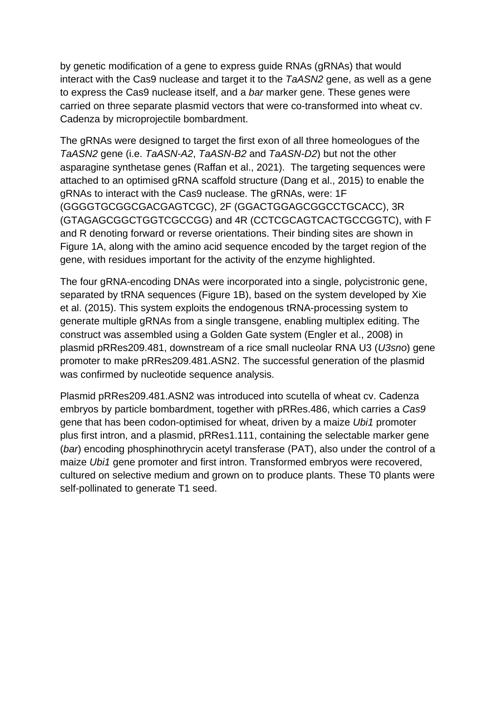by genetic modification of a gene to express guide RNAs (gRNAs) that would interact with the Cas9 nuclease and target it to the *TaASN2* gene, as well as a gene to express the Cas9 nuclease itself, and a *bar* marker gene. These genes were carried on three separate plasmid vectors that were co-transformed into wheat cv. Cadenza by microprojectile bombardment.

The gRNAs were designed to target the first exon of all three homeologues of the *TaASN2* gene (i.e. *TaASN-A2*, *TaASN-B2* and *TaASN-D2*) but not the other asparagine synthetase genes (Raffan et al., 2021). The targeting sequences were attached to an optimised gRNA scaffold structure (Dang et al., 2015) to enable the gRNAs to interact with the Cas9 nuclease. The gRNAs, were: 1F (GGGGTGCGGCGACGAGTCGC), 2F (GGACTGGAGCGGCCTGCACC), 3R (GTAGAGCGGCTGGTCGCCGG) and 4R (CCTCGCAGTCACTGCCGGTC), with F and R denoting forward or reverse orientations. Their binding sites are shown in Figure 1A, along with the amino acid sequence encoded by the target region of the gene, with residues important for the activity of the enzyme highlighted.

The four gRNA-encoding DNAs were incorporated into a single, polycistronic gene, separated by tRNA sequences (Figure 1B), based on the system developed by Xie et al. (2015). This system exploits the endogenous tRNA-processing system to generate multiple gRNAs from a single transgene, enabling multiplex editing. The construct was assembled using a Golden Gate system (Engler et al., 2008) in plasmid pRRes209.481, downstream of a rice small nucleolar RNA U3 (*U3sno*) gene promoter to make pRRes209.481.ASN2. The successful generation of the plasmid was confirmed by nucleotide sequence analysis.

Plasmid pRRes209.481.ASN2 was introduced into scutella of wheat cv. Cadenza embryos by particle bombardment, together with pRRes.486, which carries a *Cas9* gene that has been codon-optimised for wheat, driven by a maize *Ubi1* promoter plus first intron, and a plasmid, pRRes1.111, containing the selectable marker gene (*bar*) encoding phosphinothrycin acetyl transferase (PAT), also under the control of a maize *Ubi1* gene promoter and first intron. Transformed embryos were recovered, cultured on selective medium and grown on to produce plants. These T0 plants were self-pollinated to generate T1 seed.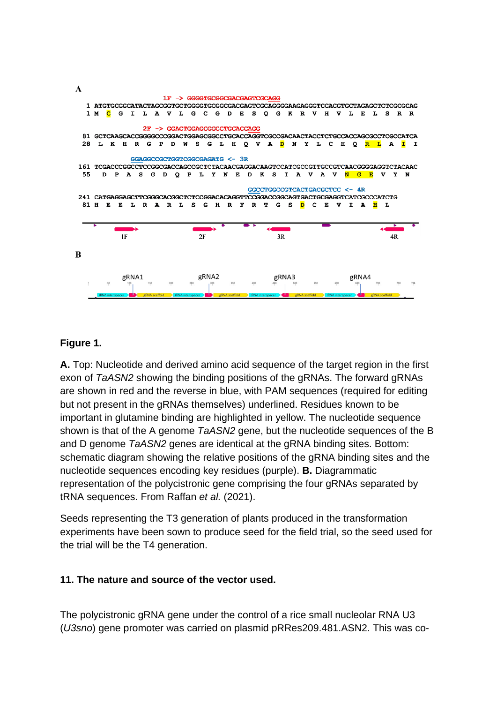

#### **Figure 1.**

**A.** Top: Nucleotide and derived amino acid sequence of the target region in the first exon of *TaASN2* showing the binding positions of the gRNAs. The forward gRNAs are shown in red and the reverse in blue, with PAM sequences (required for editing but not present in the gRNAs themselves) underlined. Residues known to be important in glutamine binding are highlighted in yellow. The nucleotide sequence shown is that of the A genome *TaASN2* gene, but the nucleotide sequences of the B and D genome *TaASN2* genes are identical at the gRNA binding sites. Bottom: schematic diagram showing the relative positions of the gRNA binding sites and the nucleotide sequences encoding key residues (purple). **B.** Diagrammatic representation of the polycistronic gene comprising the four gRNAs separated by tRNA sequences. From Raffan *et al.* (2021).

Seeds representing the T3 generation of plants produced in the transformation experiments have been sown to produce seed for the field trial, so the seed used for the trial will be the T4 generation.

#### **11. The nature and source of the vector used.**

The polycistronic gRNA gene under the control of a rice small nucleolar RNA U3 (*U3sno*) gene promoter was carried on plasmid pRRes209.481.ASN2. This was co-

 $\mathbf{A}$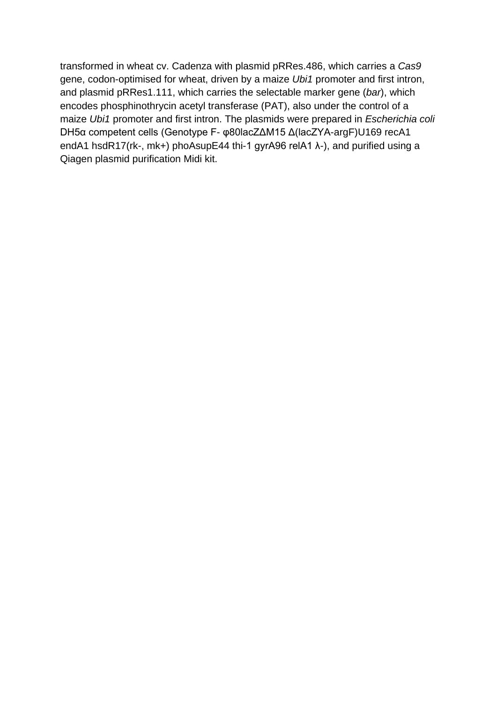transformed in wheat cv. Cadenza with plasmid pRRes.486, which carries a *Cas9* gene, codon-optimised for wheat, driven by a maize *Ubi1* promoter and first intron, and plasmid pRRes1.111, which carries the selectable marker gene (*bar*), which encodes phosphinothrycin acetyl transferase (PAT), also under the control of a maize *Ubi1* promoter and first intron. The plasmids were prepared in *Escherichia coli* DH5α competent cells (Genotype F- φ80lacZΔM15 Δ(lacZYA-argF)U169 recA1 endA1 hsdR17(rk-, mk+) phoAsupE44 thi-1 gyrA96 relA1 λ-), and purified using a Qiagen plasmid purification Midi kit.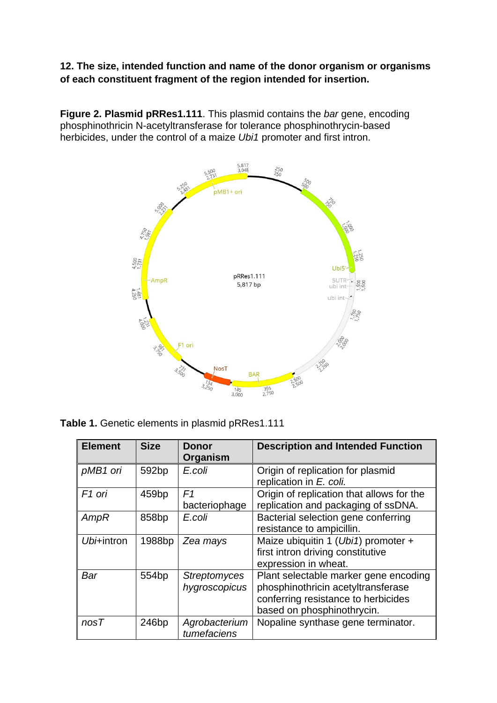**12. The size, intended function and name of the donor organism or organisms of each constituent fragment of the region intended for insertion.**

**Figure 2. Plasmid pRRes1.111**. This plasmid contains the *bar* gene, encoding phosphinothricin N-acetyltransferase for tolerance phosphinothrycin-based herbicides, under the control of a maize *Ubi1* promoter and first intron.



**Table 1.** Genetic elements in plasmid pRRes1.111

| <b>Element</b>     | <b>Size</b>        | <b>Donor</b><br>Organism             | <b>Description and Intended Function</b>                                                                                                         |
|--------------------|--------------------|--------------------------------------|--------------------------------------------------------------------------------------------------------------------------------------------------|
| pMB1 ori           | 592 <sub>bp</sub>  | E.coli                               | Origin of replication for plasmid<br>replication in E. coli.                                                                                     |
| F <sub>1</sub> ori | 459 <sub>bp</sub>  | F <sub>1</sub><br>bacteriophage      | Origin of replication that allows for the<br>replication and packaging of ssDNA.                                                                 |
| AmpR               | 858 <sub>bp</sub>  | E.coli                               | Bacterial selection gene conferring<br>resistance to ampicillin.                                                                                 |
| Ubi+intron         | 1988 <sub>bp</sub> | Zea mays                             | Maize ubiquitin 1 (Ubi1) promoter +<br>first intron driving constitutive<br>expression in wheat.                                                 |
| Bar                | 554 <sub>bp</sub>  | <b>Streptomyces</b><br>hygroscopicus | Plant selectable marker gene encoding<br>phosphinothricin acetyltransferase<br>conferring resistance to herbicides<br>based on phosphinothrycin. |
| nosT               | 246 <sub>bp</sub>  | Agrobacterium<br>tumefaciens         | Nopaline synthase gene terminator.                                                                                                               |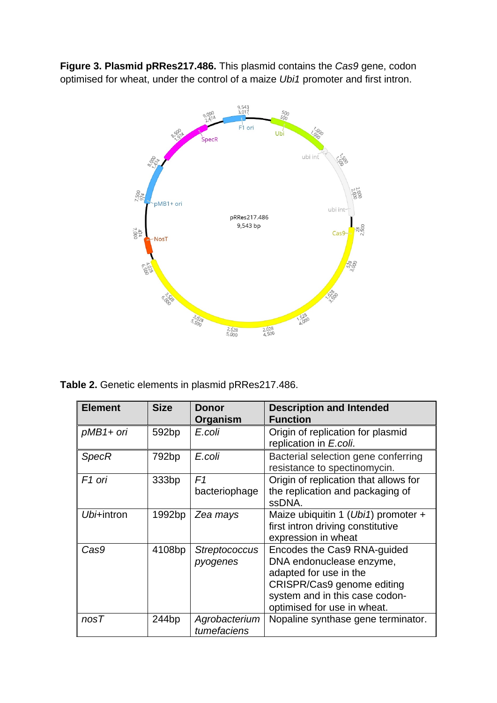**Figure 3. Plasmid pRRes217.486.** This plasmid contains the *Cas9* gene, codon optimised for wheat, under the control of a maize *Ubi1* promoter and first intron.



**Table 2.** Genetic elements in plasmid pRRes217.486.

| <b>Element</b>     | <b>Size</b>       | Donor<br>Organism                | <b>Description and Intended</b><br><b>Function</b>                                                                                                                               |
|--------------------|-------------------|----------------------------------|----------------------------------------------------------------------------------------------------------------------------------------------------------------------------------|
| pMB1+ ori          | 592bp             | E.coli                           | Origin of replication for plasmid<br>replication in E.coli.                                                                                                                      |
| <b>SpecR</b>       | 792bp             | E.coli                           | Bacterial selection gene conferring<br>resistance to spectinomycin.                                                                                                              |
| F <sub>1</sub> ori | 333bp             | F <sub>1</sub><br>bacteriophage  | Origin of replication that allows for<br>the replication and packaging of<br>ssDNA.                                                                                              |
| Ubi+intron         | 1992bp            | Zea mays                         | Maize ubiquitin 1 (Ubi1) promoter +<br>first intron driving constitutive<br>expression in wheat                                                                                  |
| Cas9               | 4108bp            | <b>Streptococcus</b><br>pyogenes | Encodes the Cas9 RNA-guided<br>DNA endonuclease enzyme,<br>adapted for use in the<br>CRISPR/Cas9 genome editing<br>system and in this case codon-<br>optimised for use in wheat. |
| nosT               | 244 <sub>bp</sub> | Agrobacterium<br>tumefaciens     | Nopaline synthase gene terminator.                                                                                                                                               |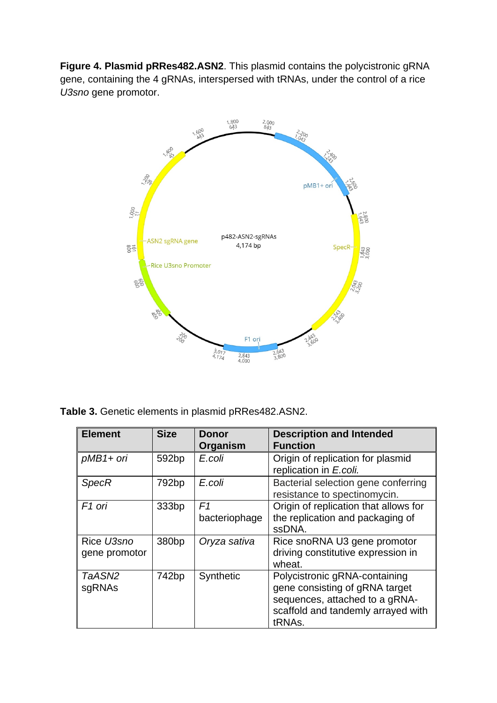**Figure 4. Plasmid pRRes482.ASN2**. This plasmid contains the polycistronic gRNA gene, containing the 4 gRNAs, interspersed with tRNAs, under the control of a rice *U3sno* gene promotor.



**Table 3.** Genetic elements in plasmid pRRes482.ASN2.

| <b>Element</b>              | <b>Size</b>       | <b>Donor</b><br>Organism | <b>Description and Intended</b><br><b>Function</b>                                                                                                |
|-----------------------------|-------------------|--------------------------|---------------------------------------------------------------------------------------------------------------------------------------------------|
| $pMB1+ori$                  | 592 <sub>bp</sub> | E.coli                   | Origin of replication for plasmid<br>replication in E.coli.                                                                                       |
| <b>SpecR</b>                | 792 <sub>bp</sub> | E.coli                   | Bacterial selection gene conferring<br>resistance to spectinomycin.                                                                               |
| F <sub>1</sub> ori          | 333bp             | F1<br>bacteriophage      | Origin of replication that allows for<br>the replication and packaging of<br>ssDNA.                                                               |
| Rice U3sno<br>gene promotor | 380 <sub>bp</sub> | Oryza sativa             | Rice snoRNA U3 gene promotor<br>driving constitutive expression in<br>wheat.                                                                      |
| TaASN2<br>sgRNAs            | 742bp             | Synthetic                | Polycistronic gRNA-containing<br>gene consisting of gRNA target<br>sequences, attached to a gRNA-<br>scaffold and tandemly arrayed with<br>tRNAs. |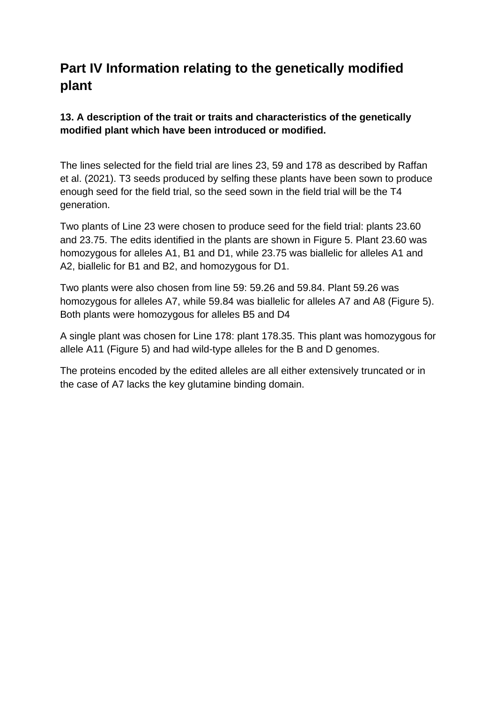# **Part IV Information relating to the genetically modified plant**

# **13. A description of the trait or traits and characteristics of the genetically modified plant which have been introduced or modified.**

The lines selected for the field trial are lines 23, 59 and 178 as described by Raffan et al. (2021). T3 seeds produced by selfing these plants have been sown to produce enough seed for the field trial, so the seed sown in the field trial will be the T4 generation.

Two plants of Line 23 were chosen to produce seed for the field trial: plants 23.60 and 23.75. The edits identified in the plants are shown in Figure 5. Plant 23.60 was homozygous for alleles A1, B1 and D1, while 23.75 was biallelic for alleles A1 and A2, biallelic for B1 and B2, and homozygous for D1.

Two plants were also chosen from line 59: 59.26 and 59.84. Plant 59.26 was homozygous for alleles A7, while 59.84 was biallelic for alleles A7 and A8 (Figure 5). Both plants were homozygous for alleles B5 and D4

A single plant was chosen for Line 178: plant 178.35. This plant was homozygous for allele A11 (Figure 5) and had wild-type alleles for the B and D genomes.

The proteins encoded by the edited alleles are all either extensively truncated or in the case of A7 lacks the key glutamine binding domain.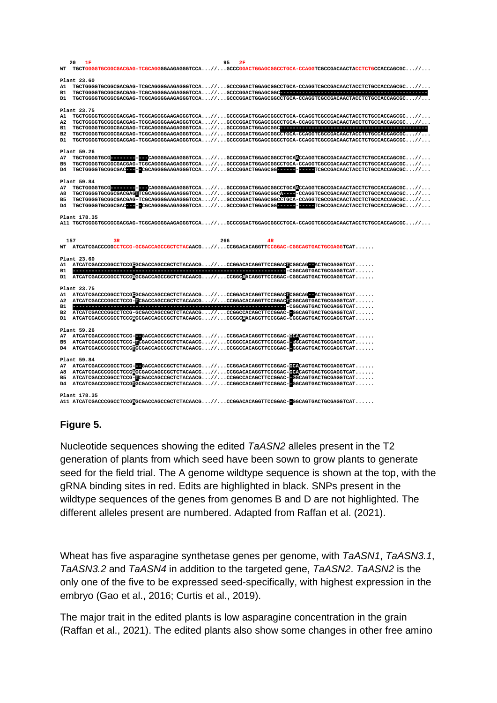|                | 20  | 1F           |    |                                                                                                                       | 95  |    |  |  |                                                                                                                                                                                                                                                                         |  |
|----------------|-----|--------------|----|-----------------------------------------------------------------------------------------------------------------------|-----|----|--|--|-------------------------------------------------------------------------------------------------------------------------------------------------------------------------------------------------------------------------------------------------------------------------|--|
| WТ             |     |              |    |                                                                                                                       |     |    |  |  | TGCTGGGGTGCGGCGACGACHACHACHACAGGGGAAGAGGGTCCA//GCCCGGACTGGAGCGGCCTGCA-CCAGGTCGCCGACAACTACCTCTGCCACCAGCGC//                                                                                                                                                              |  |
|                |     | Plant 23.60  |    |                                                                                                                       |     |    |  |  |                                                                                                                                                                                                                                                                         |  |
| A1.            |     |              |    |                                                                                                                       |     |    |  |  | ${\tt TGCTGGGGTGCGGCCACGAG-GGGGAGAGAGGGTCCA\ldots\text{\textit{1}}\ldots, {\tt GCCCGGACTGGAGCGGCCTGCA-CCAGGTCGCGACAACTACCTTCCCACCACCCACCA\\ \hbox{\tt CCAGCGC\ldots\textit{1}}\ldots \text{\tt CCAGCTGCGC\ldots\textit{1}}\ldots \text{\tt CCAGCTGCGC\ldots\textit{1}}$ |  |
| B1             |     |              |    |                                                                                                                       |     |    |  |  |                                                                                                                                                                                                                                                                         |  |
| D1             |     |              |    |                                                                                                                       |     |    |  |  | TGCTGGGGTGCGGCGACGAG-TCGCAGGGGAAGAGGGTCCA//GCCCGGACTGGAGCGGCCTGCA-CCAGGTCGCCGACAACTACCTCTGCCACCAGCGC//                                                                                                                                                                  |  |
|                |     | Plant 23.75  |    |                                                                                                                       |     |    |  |  |                                                                                                                                                                                                                                                                         |  |
| A1.            |     |              |    |                                                                                                                       |     |    |  |  | TGCTGGGGTGCGGCGACGAG-TCGCAGGGGAAGAGGGTCCA//GCCCGGACTGGAGCGGCCTGCA-CCAGGTCGCCGACAACTACCTCTGCCACCAGCGC//                                                                                                                                                                  |  |
| A2             |     |              |    |                                                                                                                       |     |    |  |  | ${\tt TGCTGGGGTGCGGCGACGAGGGGAGAGAGGGGTCCCA}\allowbreak / \allowbreak \ldots$                                                                                                                                                                                           |  |
| <b>B1</b>      |     |              |    |                                                                                                                       |     |    |  |  |                                                                                                                                                                                                                                                                         |  |
| B <sub>2</sub> |     |              |    |                                                                                                                       |     |    |  |  | TGCTGGGGTGCGGCGACGAG-TCGCAGGGGAAGAGGGTCCA//GCCCGGACTGGAGCGGCCTGCA-CCAGGTCGCCGACAACTACCTCTGCCACCAGCGC//                                                                                                                                                                  |  |
| D1             |     |              |    |                                                                                                                       |     |    |  |  | TGCTGGGGTGCGGCGACGAC=TCGCAGGGGAAGAGGGTCCA//GCCCGGACTGGAGCGGCCTGCA-CCAGGTCGCCGACAACTACCTCTGCCACCAGCGC//                                                                                                                                                                  |  |
|                |     | Plant 59.26  |    |                                                                                                                       |     |    |  |  |                                                                                                                                                                                                                                                                         |  |
| A7             |     |              |    |                                                                                                                       |     |    |  |  |                                                                                                                                                                                                                                                                         |  |
| B5             |     |              |    |                                                                                                                       |     |    |  |  | TGCTGGGGTGCGGCGACGAG-TCGCAGGGGAAGAGGGTCCA//GCCCGGACTGGAGCGCCTGCA-CCAGGTCGCCGACAACTACCTCTGCCACCAGCGC//                                                                                                                                                                   |  |
| D4             |     |              |    |                                                                                                                       |     |    |  |  | TGCTGGGGTGCGGCGAC----CGCAGGGGAAGAGGGTCCA//GCCCGGACTGGAGCGG-----------CGCCGACAACTACCTCTGCCACCAGCGC//                                                                                                                                                                     |  |
|                |     | Plant 59.84  |    |                                                                                                                       |     |    |  |  |                                                                                                                                                                                                                                                                         |  |
| A7             |     |              |    |                                                                                                                       |     |    |  |  |                                                                                                                                                                                                                                                                         |  |
| A8             |     |              |    |                                                                                                                       |     |    |  |  | TGCTGGGGTGCGGCGACGAGGGCAAGGGGAAGAGGGTCCA//GCCCGGACTGGAGCGGCL----CCAGGTCGCCGACAACTACCTCTGCCACCAGCGC//                                                                                                                                                                    |  |
| <b>B5</b>      |     |              |    |                                                                                                                       |     |    |  |  | TGCTGGGGTGCGGCGACGAG-TCGCAGGGGAAGAGGGTCCA//GCCCGGACTGGAGCGCCTGCA-CCAGGTCGCCGACAACTACCTCTGCCACCAGCGC//                                                                                                                                                                   |  |
| D4             |     |              |    |                                                                                                                       |     |    |  |  | TGCTGGGGTGCGGCGAC----CGCAGGGGAAGAGGGTCCA//GCCCGGACTGGAGCGG----------CH--TCGCCGACAACTACCTCTGCCACCAGCGC//                                                                                                                                                                 |  |
|                |     | Plant 178.35 |    |                                                                                                                       |     |    |  |  |                                                                                                                                                                                                                                                                         |  |
|                |     |              |    |                                                                                                                       |     |    |  |  | A11 TGCTGGGGTGCGGCGACGAG-TCGCAGGGGAAGAGGGTCCA//GCCCGGACTGGAGCGGCCTGCA-CCAGGTCGCCGACAACTACCTCTGCCACCAGCGC//                                                                                                                                                              |  |
|                |     |              |    |                                                                                                                       |     |    |  |  |                                                                                                                                                                                                                                                                         |  |
|                | 157 |              | 3R |                                                                                                                       | 266 | 4R |  |  |                                                                                                                                                                                                                                                                         |  |
| WT             |     |              |    | ATCATCGACCCGGCCTCCG-GCGACCAGCCGCTCTACAACG//CCGGACACAGGTTCCGGAC-CGGCAGTGACTGCGAGGTCAT                                  |     |    |  |  |                                                                                                                                                                                                                                                                         |  |
|                |     | Plant 23.60  |    |                                                                                                                       |     |    |  |  |                                                                                                                                                                                                                                                                         |  |
| A1.            |     |              |    | ATCATCGACCCGGCCTCCGGGCGACCAGCCGCTCTACAACG//CCGGACACAGGTTCCGGACAGLEACTGCGAGGTCAT                                       |     |    |  |  |                                                                                                                                                                                                                                                                         |  |
| <b>B1</b>      |     |              |    |                                                                                                                       |     |    |  |  |                                                                                                                                                                                                                                                                         |  |
| D1             |     |              |    | ATCATCGACCCGCCTCCGACCACCACCCCCCTCTACAACG//CCGGCACACGCTCCGGAC-CGGCAGTGACTGCGAGGTCAT                                    |     |    |  |  |                                                                                                                                                                                                                                                                         |  |
|                |     | Plant 23.75  |    |                                                                                                                       |     |    |  |  |                                                                                                                                                                                                                                                                         |  |
| A1.            |     |              |    | ATCATCGACCGGCCTCCGGGCACCACCCCCTCTACAACG//CCGGACACAGGTTCCGGACTCGGCAG-ACTGCGAGGTCAT                                     |     |    |  |  |                                                                                                                                                                                                                                                                         |  |
| A2             |     |              |    | ATCATCGACCCGGCCTCCG-BCGACCAGCCGCTCTACAACG//CCGGACACAGGTTCCGGACBCGCAGTGACTGCGAGGTCAT                                   |     |    |  |  |                                                                                                                                                                                                                                                                         |  |
| <b>B1</b>      |     |              |    |                                                                                                                       |     |    |  |  |                                                                                                                                                                                                                                                                         |  |
| B2             |     |              |    | ${\tt ACTCCGACCGGCCTCCG-GCGACCACGCCTCTACAACG \dots / / \dots CCGGCCACAGCTTCCGGAC--GGCAGTGACTGCGAGGTCAT \dots \dots }$ |     |    |  |  |                                                                                                                                                                                                                                                                         |  |
| D1             |     |              |    | ATCATCGACCCGCCTCCGACCGACCACCCGCTCTACAACG//CCGGCACAGGTTCCGGAC-CGGCAGTGACTGCGAGGTCAT                                    |     |    |  |  |                                                                                                                                                                                                                                                                         |  |
|                |     | Plant 59.26  |    |                                                                                                                       |     |    |  |  |                                                                                                                                                                                                                                                                         |  |
|                |     |              |    | A7 ATCATCGACCCGGCCTCCG-CACCAGCCGCTCTACAACG//CCGGACACAGGTTCCGGAC-COACAGTGACTGCGAGGTCAT                                 |     |    |  |  |                                                                                                                                                                                                                                                                         |  |
| B5             |     |              |    | ${\bf ATCAT CGACCGGCCCTCCG-ICGACCAGCCGCTCTACAACG. // CGGCCACAGCTTCCGGAC-GGCAGTGACTGCCGAGCTCAT}$                       |     |    |  |  |                                                                                                                                                                                                                                                                         |  |
| D4             |     |              |    | ATCATCGACCCGGCCTCCGHGCGACCAGCCGCTCTACAACG//CCGGCCACAGGTTCCGGAC--GGCAGTGACTGCGAGGTCAT                                  |     |    |  |  |                                                                                                                                                                                                                                                                         |  |
|                |     | Plant 59.84  |    |                                                                                                                       |     |    |  |  |                                                                                                                                                                                                                                                                         |  |
| A7             |     |              |    | ATCATCGACCGGCCTCCG--GACCAGCCGCTCTACAACG//CCGGACACAGGTTCCGGAC-GOACTGACTGCGAGGTCAT                                      |     |    |  |  |                                                                                                                                                                                                                                                                         |  |
| A8             |     |              |    | ATCATCGACCCGGCCTCCG <mark>A</mark> GCGACCAGCCGCTCTACAACG//CCGGACACAGGTTCCGGAC-COACAGTGACTGCGAGGTCAT                   |     |    |  |  |                                                                                                                                                                                                                                                                         |  |
| B5             |     |              |    | ATCATCGACCCGGCCTCCG-DCGACCAGCCGCTCTACAACG//CCGGCCACAGCTTCCGGAC-DGCAGTGACTGCGAGGTCAT                                   |     |    |  |  |                                                                                                                                                                                                                                                                         |  |
| D4             |     |              |    | ATCATCGACCCGGCCTCCGFGCGACCACCGCTCTACAACG//CCGGCCACAGGTTCCGGAC-GGCAGTGACTGCGAGGTCAT                                    |     |    |  |  |                                                                                                                                                                                                                                                                         |  |
|                |     | Plant 178.35 |    | A11 ATCATCGACCCGGCCTCCGGGCGACCAGCCGCTCTACAACG//CCGGACACAGGTTCCGGAC-GGCAGTGACTGCGAGGTCAT                               |     |    |  |  |                                                                                                                                                                                                                                                                         |  |

#### **Figure 5.**

Nucleotide sequences showing the edited *TaASN2* alleles present in the T2 generation of plants from which seed have been sown to grow plants to generate seed for the field trial. The A genome wildtype sequence is shown at the top, with the gRNA binding sites in red. Edits are highlighted in black. SNPs present in the wildtype sequences of the genes from genomes B and D are not highlighted. The different alleles present are numbered. Adapted from Raffan et al. (2021).

Wheat has five asparagine synthetase genes per genome, with *TaASN1*, *TaASN3.1*, *TaASN3.2* and *TaASN4* in addition to the targeted gene, *TaASN2*. *TaASN2* is the only one of the five to be expressed seed-specifically, with highest expression in the embryo (Gao et al., 2016; Curtis et al., 2019).

The major trait in the edited plants is low asparagine concentration in the grain (Raffan et al., 2021). The edited plants also show some changes in other free amino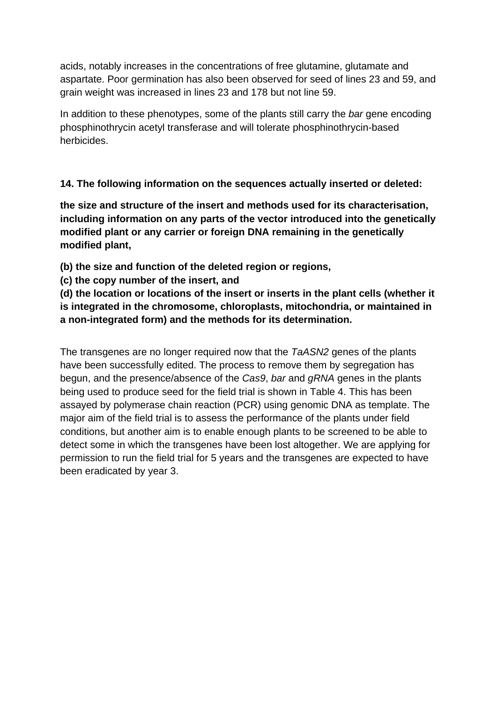acids, notably increases in the concentrations of free glutamine, glutamate and aspartate. Poor germination has also been observed for seed of lines 23 and 59, and grain weight was increased in lines 23 and 178 but not line 59.

In addition to these phenotypes, some of the plants still carry the *bar* gene encoding phosphinothrycin acetyl transferase and will tolerate phosphinothrycin-based herbicides.

### **14. The following information on the sequences actually inserted or deleted:**

**the size and structure of the insert and methods used for its characterisation, including information on any parts of the vector introduced into the genetically modified plant or any carrier or foreign DNA remaining in the genetically modified plant,**

**(b) the size and function of the deleted region or regions,**

**(c) the copy number of the insert, and**

**(d) the location or locations of the insert or inserts in the plant cells (whether it is integrated in the chromosome, chloroplasts, mitochondria, or maintained in a non-integrated form) and the methods for its determination.**

The transgenes are no longer required now that the *TaASN2* genes of the plants have been successfully edited. The process to remove them by segregation has begun, and the presence/absence of the *Cas9*, *bar* and *gRNA* genes in the plants being used to produce seed for the field trial is shown in Table 4. This has been assayed by polymerase chain reaction (PCR) using genomic DNA as template. The major aim of the field trial is to assess the performance of the plants under field conditions, but another aim is to enable enough plants to be screened to be able to detect some in which the transgenes have been lost altogether. We are applying for permission to run the field trial for 5 years and the transgenes are expected to have been eradicated by year 3.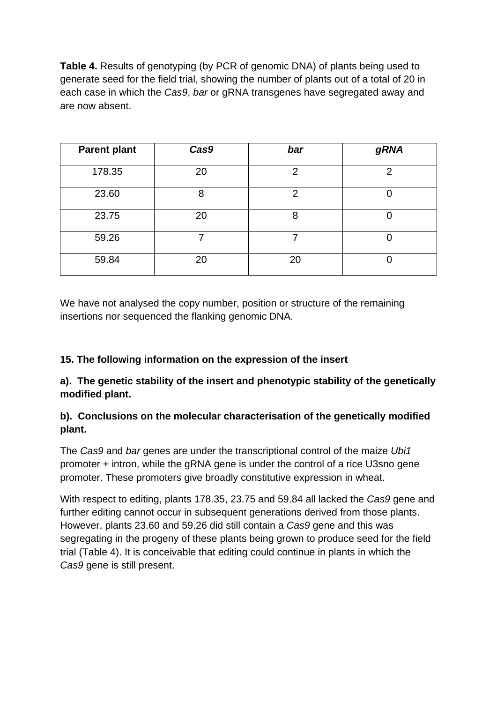**Table 4.** Results of genotyping (by PCR of genomic DNA) of plants being used to generate seed for the field trial, showing the number of plants out of a total of 20 in each case in which the *Cas9*, *bar* or gRNA transgenes have segregated away and are now absent.

| <b>Parent plant</b> | Cas9 | bar            | <b>gRNA</b> |
|---------------------|------|----------------|-------------|
| 178.35              | 20   | $\overline{2}$ | 2           |
| 23.60               | 8    | $\overline{2}$ |             |
| 23.75               | 20   | 8              |             |
| 59.26               |      |                |             |
| 59.84               | 20   | 20             |             |

We have not analysed the copy number, position or structure of the remaining insertions nor sequenced the flanking genomic DNA.

# **15. The following information on the expression of the insert**

**a). The genetic stability of the insert and phenotypic stability of the genetically modified plant.** 

### **b). Conclusions on the molecular characterisation of the genetically modified plant.**

The *Cas9* and *bar* genes are under the transcriptional control of the maize *Ubi1* promoter + intron, while the gRNA gene is under the control of a rice U3sno gene promoter. These promoters give broadly constitutive expression in wheat.

With respect to editing, plants 178.35, 23.75 and 59.84 all lacked the *Cas9* gene and further editing cannot occur in subsequent generations derived from those plants. However, plants 23.60 and 59.26 did still contain a *Cas9* gene and this was segregating in the progeny of these plants being grown to produce seed for the field trial (Table 4). It is conceivable that editing could continue in plants in which the *Cas9* gene is still present.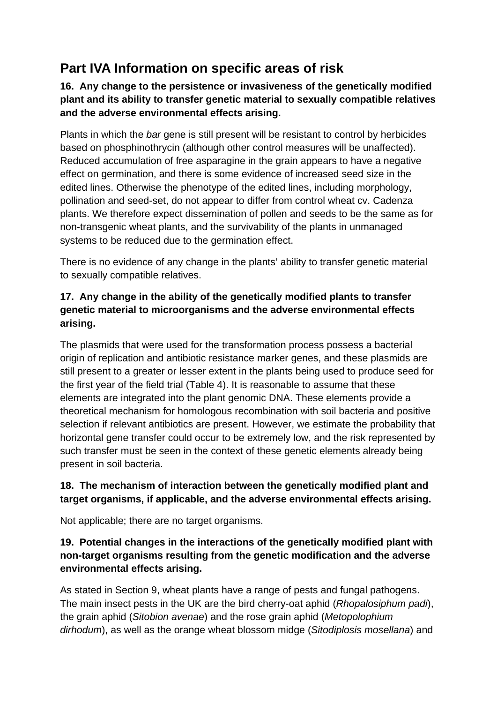# **Part IVA Information on specific areas of risk**

**16. Any change to the persistence or invasiveness of the genetically modified plant and its ability to transfer genetic material to sexually compatible relatives and the adverse environmental effects arising.**

Plants in which the *bar* gene is still present will be resistant to control by herbicides based on phosphinothrycin (although other control measures will be unaffected). Reduced accumulation of free asparagine in the grain appears to have a negative effect on germination, and there is some evidence of increased seed size in the edited lines. Otherwise the phenotype of the edited lines, including morphology, pollination and seed-set, do not appear to differ from control wheat cv. Cadenza plants. We therefore expect dissemination of pollen and seeds to be the same as for non-transgenic wheat plants, and the survivability of the plants in unmanaged systems to be reduced due to the germination effect.

There is no evidence of any change in the plants' ability to transfer genetic material to sexually compatible relatives.

# **17. Any change in the ability of the genetically modified plants to transfer genetic material to microorganisms and the adverse environmental effects arising.**

The plasmids that were used for the transformation process possess a bacterial origin of replication and antibiotic resistance marker genes, and these plasmids are still present to a greater or lesser extent in the plants being used to produce seed for the first year of the field trial (Table 4). It is reasonable to assume that these elements are integrated into the plant genomic DNA. These elements provide a theoretical mechanism for homologous recombination with soil bacteria and positive selection if relevant antibiotics are present. However, we estimate the probability that horizontal gene transfer could occur to be extremely low, and the risk represented by such transfer must be seen in the context of these genetic elements already being present in soil bacteria.

### **18. The mechanism of interaction between the genetically modified plant and target organisms, if applicable, and the adverse environmental effects arising.**

Not applicable; there are no target organisms.

# **19. Potential changes in the interactions of the genetically modified plant with non-target organisms resulting from the genetic modification and the adverse environmental effects arising.**

As stated in Section 9, wheat plants have a range of pests and fungal pathogens. The main insect pests in the UK are the bird cherry-oat aphid (*Rhopalosiphum padi*), the grain aphid (*Sitobion avenae*) and the rose grain aphid (*Metopolophium dirhodum*), as well as the orange wheat blossom midge (*Sitodiplosis mosellana*) and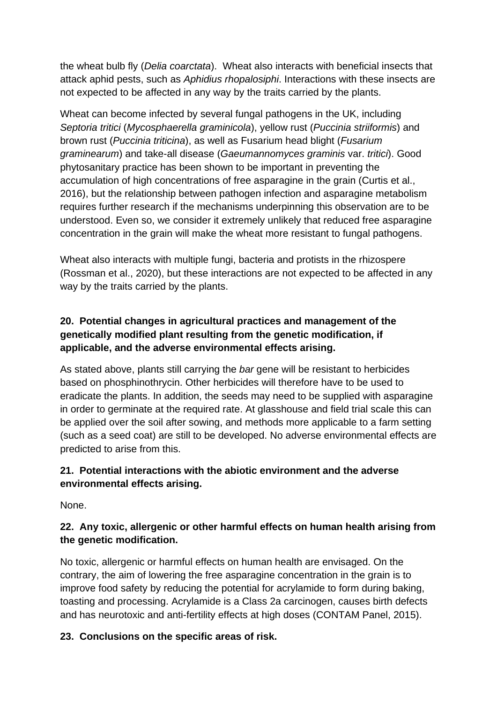the wheat bulb fly (*Delia coarctata*). Wheat also interacts with beneficial insects that attack aphid pests, such as *Aphidius rhopalosiphi*. Interactions with these insects are not expected to be affected in any way by the traits carried by the plants.

Wheat can become infected by several fungal pathogens in the UK, including *Septoria tritici* (*Mycosphaerella graminicola*), yellow rust (*Puccinia striiformis*) and brown rust (*Puccinia triticina*), as well as Fusarium head blight (*Fusarium graminearum*) and take-all disease (*Gaeumannomyces graminis* var. *tritici*). Good phytosanitary practice has been shown to be important in preventing the accumulation of high concentrations of free asparagine in the grain (Curtis et al., 2016), but the relationship between pathogen infection and asparagine metabolism requires further research if the mechanisms underpinning this observation are to be understood. Even so, we consider it extremely unlikely that reduced free asparagine concentration in the grain will make the wheat more resistant to fungal pathogens.

Wheat also interacts with multiple fungi, bacteria and protists in the rhizospere (Rossman et al., 2020), but these interactions are not expected to be affected in any way by the traits carried by the plants.

# **20. Potential changes in agricultural practices and management of the genetically modified plant resulting from the genetic modification, if applicable, and the adverse environmental effects arising.**

As stated above, plants still carrying the *bar* gene will be resistant to herbicides based on phosphinothrycin. Other herbicides will therefore have to be used to eradicate the plants. In addition, the seeds may need to be supplied with asparagine in order to germinate at the required rate. At glasshouse and field trial scale this can be applied over the soil after sowing, and methods more applicable to a farm setting (such as a seed coat) are still to be developed. No adverse environmental effects are predicted to arise from this.

# **21. Potential interactions with the abiotic environment and the adverse environmental effects arising.**

None.

# **22. Any toxic, allergenic or other harmful effects on human health arising from the genetic modification.**

No toxic, allergenic or harmful effects on human health are envisaged. On the contrary, the aim of lowering the free asparagine concentration in the grain is to improve food safety by reducing the potential for acrylamide to form during baking, toasting and processing. Acrylamide is a Class 2a carcinogen, causes birth defects and has neurotoxic and anti-fertility effects at high doses (CONTAM Panel, 2015).

# **23. Conclusions on the specific areas of risk.**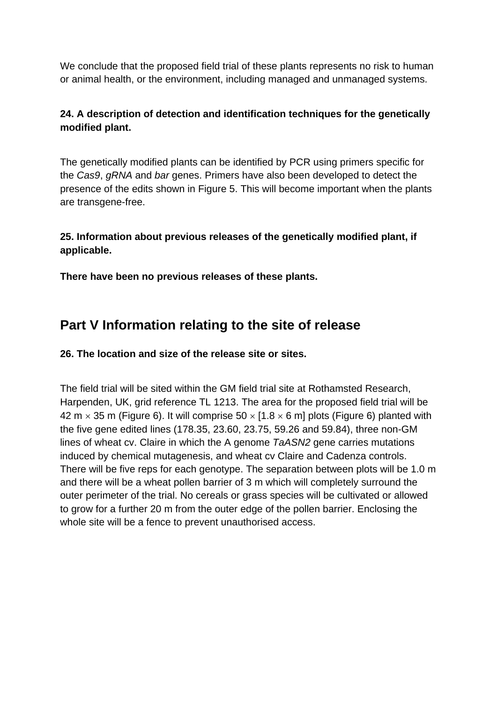We conclude that the proposed field trial of these plants represents no risk to human or animal health, or the environment, including managed and unmanaged systems.

### **24. A description of detection and identification techniques for the genetically modified plant.**

The genetically modified plants can be identified by PCR using primers specific for the *Cas9*, *gRNA* and *bar* genes. Primers have also been developed to detect the presence of the edits shown in Figure 5. This will become important when the plants are transgene-free.

### **25. Information about previous releases of the genetically modified plant, if applicable.**

**There have been no previous releases of these plants.**

# **Part V Information relating to the site of release**

**26. The location and size of the release site or sites.**

The field trial will be sited within the GM field trial site at Rothamsted Research, Harpenden, UK, grid reference TL 1213. The area for the proposed field trial will be 42 m  $\times$  35 m (Figure 6). It will comprise 50  $\times$  [1.8  $\times$  6 m] plots (Figure 6) planted with the five gene edited lines (178.35, 23.60, 23.75, 59.26 and 59.84), three non-GM lines of wheat cv. Claire in which the A genome *TaASN2* gene carries mutations induced by chemical mutagenesis, and wheat cv Claire and Cadenza controls. There will be five reps for each genotype. The separation between plots will be 1.0 m and there will be a wheat pollen barrier of 3 m which will completely surround the outer perimeter of the trial. No cereals or grass species will be cultivated or allowed to grow for a further 20 m from the outer edge of the pollen barrier. Enclosing the whole site will be a fence to prevent unauthorised access.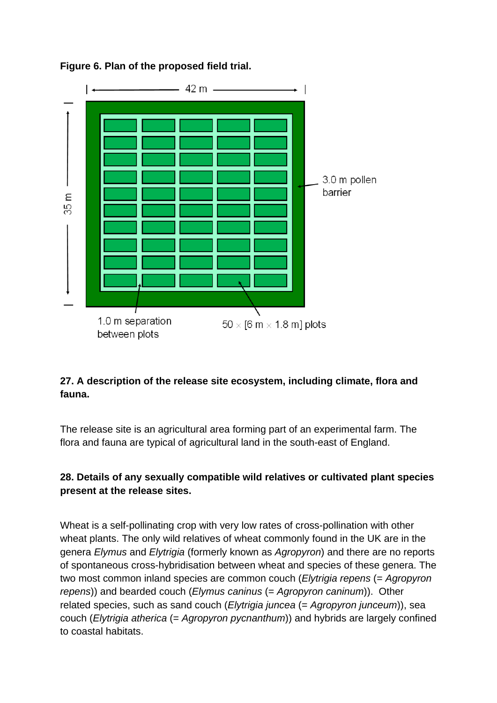

# **Figure 6. Plan of the proposed field trial.**

# **27. A description of the release site ecosystem, including climate, flora and fauna.**

The release site is an agricultural area forming part of an experimental farm. The flora and fauna are typical of agricultural land in the south-east of England.

# **28. Details of any sexually compatible wild relatives or cultivated plant species present at the release sites.**

Wheat is a self-pollinating crop with very low rates of cross-pollination with other wheat plants. The only wild relatives of wheat commonly found in the UK are in the genera *Elymus* and *Elytrigia* (formerly known as *Agropyron*) and there are no reports of spontaneous cross-hybridisation between wheat and species of these genera. The two most common inland species are common couch (*Elytrigia repens* (= *Agropyron repens*)) and bearded couch (*Elymus caninus* (= *Agropyron caninum*)). Other related species, such as sand couch (*Elytrigia juncea* (= *Agropyron junceum*)), sea couch (*Elytrigia atherica* (= *Agropyron pycnanthum*)) and hybrids are largely confined to coastal habitats.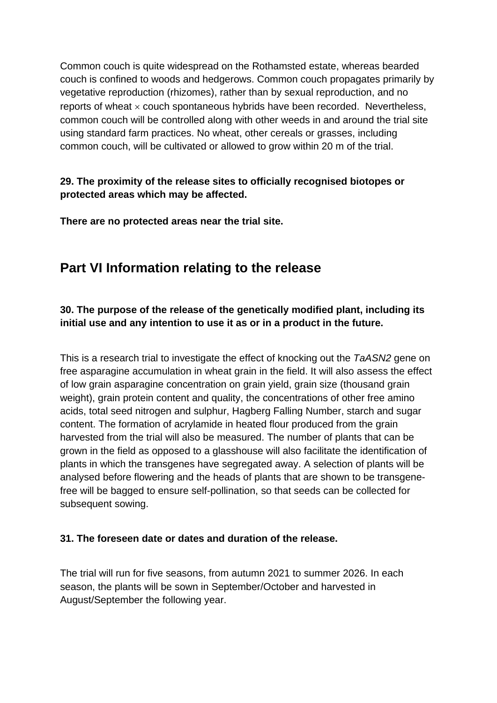Common couch is quite widespread on the Rothamsted estate, whereas bearded couch is confined to woods and hedgerows. Common couch propagates primarily by vegetative reproduction (rhizomes), rather than by sexual reproduction, and no reports of wheat  $\times$  couch spontaneous hybrids have been recorded. Nevertheless, common couch will be controlled along with other weeds in and around the trial site using standard farm practices. No wheat, other cereals or grasses, including common couch, will be cultivated or allowed to grow within 20 m of the trial.

### **29. The proximity of the release sites to officially recognised biotopes or protected areas which may be affected.**

**There are no protected areas near the trial site.** 

# **Part VI Information relating to the release**

# **30. The purpose of the release of the genetically modified plant, including its initial use and any intention to use it as or in a product in the future.**

This is a research trial to investigate the effect of knocking out the *TaASN2* gene on free asparagine accumulation in wheat grain in the field. It will also assess the effect of low grain asparagine concentration on grain yield, grain size (thousand grain weight), grain protein content and quality, the concentrations of other free amino acids, total seed nitrogen and sulphur, Hagberg Falling Number, starch and sugar content. The formation of acrylamide in heated flour produced from the grain harvested from the trial will also be measured. The number of plants that can be grown in the field as opposed to a glasshouse will also facilitate the identification of plants in which the transgenes have segregated away. A selection of plants will be analysed before flowering and the heads of plants that are shown to be transgenefree will be bagged to ensure self-pollination, so that seeds can be collected for subsequent sowing.

# **31. The foreseen date or dates and duration of the release.**

The trial will run for five seasons, from autumn 2021 to summer 2026. In each season, the plants will be sown in September/October and harvested in August/September the following year.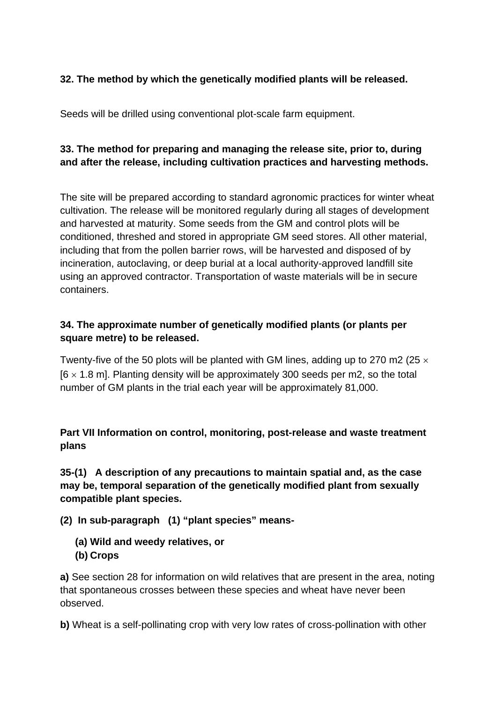### **32. The method by which the genetically modified plants will be released.**

Seeds will be drilled using conventional plot-scale farm equipment.

### **33. The method for preparing and managing the release site, prior to, during and after the release, including cultivation practices and harvesting methods.**

The site will be prepared according to standard agronomic practices for winter wheat cultivation. The release will be monitored regularly during all stages of development and harvested at maturity. Some seeds from the GM and control plots will be conditioned, threshed and stored in appropriate GM seed stores. All other material, including that from the pollen barrier rows, will be harvested and disposed of by incineration, autoclaving, or deep burial at a local authority-approved landfill site using an approved contractor. Transportation of waste materials will be in secure containers.

### **34. The approximate number of genetically modified plants (or plants per square metre) to be released.**

Twenty-five of the 50 plots will be planted with GM lines, adding up to 270 m2 (25  $\times$  $[6 \times 1.8 \text{ m}]$ . Planting density will be approximately 300 seeds per m2, so the total number of GM plants in the trial each year will be approximately 81,000.

**Part VII Information on control, monitoring, post-release and waste treatment plans**

**35-(1) A description of any precautions to maintain spatial and, as the case may be, temporal separation of the genetically modified plant from sexually compatible plant species.**

**(2) In sub-paragraph (1) "plant species" means-**

- **(a) Wild and weedy relatives, or**
- **(b) Crops**

**a)** See section 28 for information on wild relatives that are present in the area, noting that spontaneous crosses between these species and wheat have never been observed.

**b)** Wheat is a self-pollinating crop with very low rates of cross-pollination with other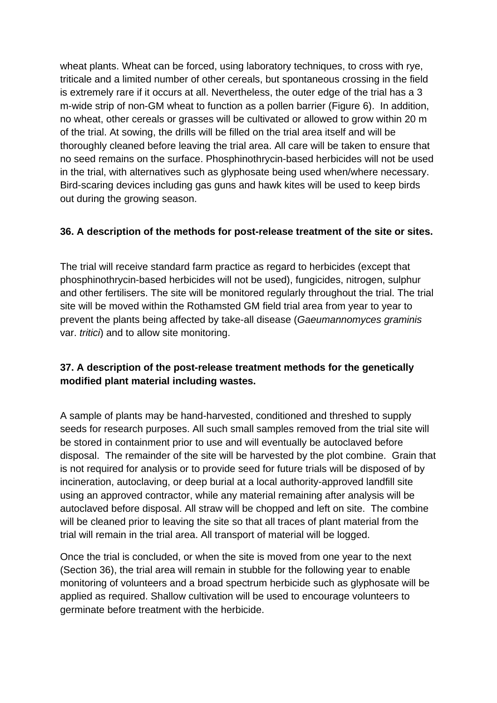wheat plants. Wheat can be forced, using laboratory techniques, to cross with rye, triticale and a limited number of other cereals, but spontaneous crossing in the field is extremely rare if it occurs at all. Nevertheless, the outer edge of the trial has a 3 m-wide strip of non-GM wheat to function as a pollen barrier (Figure 6). In addition, no wheat, other cereals or grasses will be cultivated or allowed to grow within 20 m of the trial. At sowing, the drills will be filled on the trial area itself and will be thoroughly cleaned before leaving the trial area. All care will be taken to ensure that no seed remains on the surface. Phosphinothrycin-based herbicides will not be used in the trial, with alternatives such as glyphosate being used when/where necessary. Bird-scaring devices including gas guns and hawk kites will be used to keep birds out during the growing season.

#### **36. A description of the methods for post-release treatment of the site or sites.**

The trial will receive standard farm practice as regard to herbicides (except that phosphinothrycin-based herbicides will not be used), fungicides, nitrogen, sulphur and other fertilisers. The site will be monitored regularly throughout the trial. The trial site will be moved within the Rothamsted GM field trial area from year to year to prevent the plants being affected by take-all disease (*Gaeumannomyces graminis* var. *tritici*) and to allow site monitoring.

### **37. A description of the post-release treatment methods for the genetically modified plant material including wastes.**

A sample of plants may be hand-harvested, conditioned and threshed to supply seeds for research purposes. All such small samples removed from the trial site will be stored in containment prior to use and will eventually be autoclaved before disposal. The remainder of the site will be harvested by the plot combine. Grain that is not required for analysis or to provide seed for future trials will be disposed of by incineration, autoclaving, or deep burial at a local authority-approved landfill site using an approved contractor, while any material remaining after analysis will be autoclaved before disposal. All straw will be chopped and left on site. The combine will be cleaned prior to leaving the site so that all traces of plant material from the trial will remain in the trial area. All transport of material will be logged.

Once the trial is concluded, or when the site is moved from one year to the next (Section 36), the trial area will remain in stubble for the following year to enable monitoring of volunteers and a broad spectrum herbicide such as glyphosate will be applied as required. Shallow cultivation will be used to encourage volunteers to germinate before treatment with the herbicide.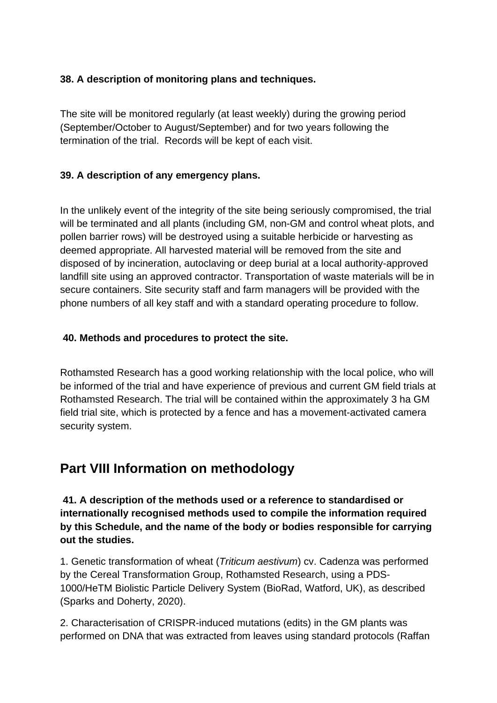#### **38. A description of monitoring plans and techniques.**

The site will be monitored regularly (at least weekly) during the growing period (September/October to August/September) and for two years following the termination of the trial. Records will be kept of each visit.

### **39. A description of any emergency plans.**

In the unlikely event of the integrity of the site being seriously compromised, the trial will be terminated and all plants (including GM, non-GM and control wheat plots, and pollen barrier rows) will be destroyed using a suitable herbicide or harvesting as deemed appropriate. All harvested material will be removed from the site and disposed of by incineration, autoclaving or deep burial at a local authority-approved landfill site using an approved contractor. Transportation of waste materials will be in secure containers. Site security staff and farm managers will be provided with the phone numbers of all key staff and with a standard operating procedure to follow.

### **40. Methods and procedures to protect the site.**

Rothamsted Research has a good working relationship with the local police, who will be informed of the trial and have experience of previous and current GM field trials at Rothamsted Research. The trial will be contained within the approximately 3 ha GM field trial site, which is protected by a fence and has a movement-activated camera security system.

# **Part VIII Information on methodology**

**41. A description of the methods used or a reference to standardised or internationally recognised methods used to compile the information required by this Schedule, and the name of the body or bodies responsible for carrying out the studies.**

1. Genetic transformation of wheat (*Triticum aestivum*) cv. Cadenza was performed by the Cereal Transformation Group, Rothamsted Research, using a PDS-1000/HeTM Biolistic Particle Delivery System (BioRad, Watford, UK), as described (Sparks and Doherty, 2020).

2. Characterisation of CRISPR-induced mutations (edits) in the GM plants was performed on DNA that was extracted from leaves using standard protocols (Raffan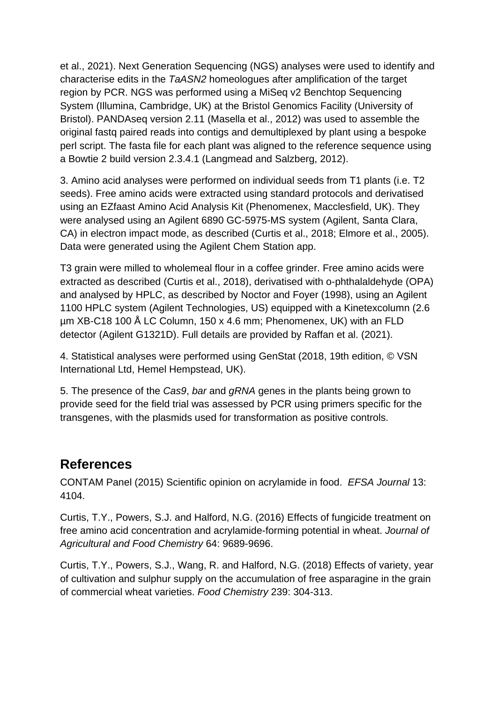et al., 2021). Next Generation Sequencing (NGS) analyses were used to identify and characterise edits in the *TaASN2* homeologues after amplification of the target region by PCR. NGS was performed using a MiSeq v2 Benchtop Sequencing System (Illumina, Cambridge, UK) at the Bristol Genomics Facility (University of Bristol). PANDAseq version 2.11 (Masella et al., 2012) was used to assemble the original fastq paired reads into contigs and demultiplexed by plant using a bespoke perl script. The fasta file for each plant was aligned to the reference sequence using a Bowtie 2 build version 2.3.4.1 (Langmead and Salzberg, 2012).

3. Amino acid analyses were performed on individual seeds from T1 plants (i.e. T2 seeds). Free amino acids were extracted using standard protocols and derivatised using an EZfaast Amino Acid Analysis Kit (Phenomenex, Macclesfield, UK). They were analysed using an Agilent 6890 GC-5975-MS system (Agilent, Santa Clara, CA) in electron impact mode, as described (Curtis et al., 2018; Elmore et al., 2005). Data were generated using the Agilent Chem Station app.

T3 grain were milled to wholemeal flour in a coffee grinder. Free amino acids were extracted as described (Curtis et al., 2018), derivatised with o-phthalaldehyde (OPA) and analysed by HPLC, as described by Noctor and Foyer (1998), using an Agilent 1100 HPLC system (Agilent Technologies, US) equipped with a Kinetexcolumn (2.6 µm XB-C18 100 Å LC Column, 150 x 4.6 mm; Phenomenex, UK) with an FLD detector (Agilent G1321D). Full details are provided by Raffan et al. (2021).

4. Statistical analyses were performed using GenStat (2018, 19th edition, © VSN International Ltd, Hemel Hempstead, UK).

5. The presence of the *Cas9*, *bar* and *gRNA* genes in the plants being grown to provide seed for the field trial was assessed by PCR using primers specific for the transgenes, with the plasmids used for transformation as positive controls.

# **References**

CONTAM Panel (2015) Scientific opinion on acrylamide in food. *EFSA Journal* 13: 4104.

Curtis, T.Y., Powers, S.J. and Halford, N.G. (2016) Effects of fungicide treatment on free amino acid concentration and acrylamide-forming potential in wheat. *Journal of Agricultural and Food Chemistry* 64: 9689-9696.

Curtis, T.Y., Powers, S.J., Wang, R. and Halford, N.G. (2018) Effects of variety, year of cultivation and sulphur supply on the accumulation of free asparagine in the grain of commercial wheat varieties. *Food Chemistry* 239: 304-313.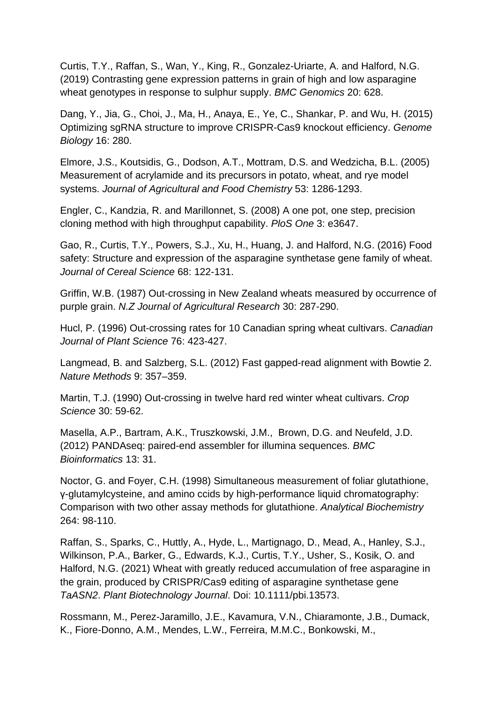Curtis, T.Y., Raffan, S., Wan, Y., King, R., Gonzalez-Uriarte, A. and Halford, N.G. (2019) Contrasting gene expression patterns in grain of high and low asparagine wheat genotypes in response to sulphur supply. *BMC Genomics* 20: 628.

Dang, Y., Jia, G., Choi, J., Ma, H., Anaya, E., Ye, C., Shankar, P. and Wu, H. (2015) Optimizing sgRNA structure to improve CRISPR-Cas9 knockout efficiency. *Genome Biology* 16: 280.

Elmore, J.S., Koutsidis, G., Dodson, A.T., Mottram, D.S. and Wedzicha, B.L. (2005) Measurement of acrylamide and its precursors in potato, wheat, and rye model systems. *Journal of Agricultural and Food Chemistry* 53: 1286-1293.

Engler, C., Kandzia, R. and Marillonnet, S. (2008) A one pot, one step, precision cloning method with high throughput capability. *PloS One* 3: e3647.

Gao, R., Curtis, T.Y., Powers, S.J., Xu, H., Huang, J. and Halford, N.G. (2016) Food safety: Structure and expression of the asparagine synthetase gene family of wheat. *Journal of Cereal Science* 68: 122-131.

Griffin, W.B. (1987) Out-crossing in New Zealand wheats measured by occurrence of purple grain. *N.Z Journal of Agricultural Research* 30: 287-290.

Hucl, P. (1996) Out-crossing rates for 10 Canadian spring wheat cultivars. *Canadian Journal of Plant Science* 76: 423-427.

Langmead, B. and Salzberg, S.L. (2012) Fast gapped-read alignment with Bowtie 2. *Nature Methods* 9: 357–359.

Martin, T.J. (1990) Out-crossing in twelve hard red winter wheat cultivars. *Crop Science* 30: 59-62.

Masella, A.P., Bartram, A.K., Truszkowski, J.M., Brown, D.G. and Neufeld, J.D. (2012) PANDAseq: paired-end assembler for illumina sequences. *BMC Bioinformatics* 13: 31.

Noctor, G. and Foyer, C.H. (1998) Simultaneous measurement of foliar glutathione, γ-glutamylcysteine, and amino ccids by high-performance liquid chromatography: Comparison with two other assay methods for glutathione. *Analytical Biochemistry* 264: 98-110.

Raffan, S., Sparks, C., Huttly, A., Hyde, L., Martignago, D., Mead, A., Hanley, S.J., Wilkinson, P.A., Barker, G., Edwards, K.J., Curtis, T.Y., Usher, S., Kosik, O. and Halford, N.G. (2021) Wheat with greatly reduced accumulation of free asparagine in the grain, produced by CRISPR/Cas9 editing of asparagine synthetase gene *TaASN2*. *Plant Biotechnology Journal*. Doi: 10.1111/pbi.13573.

Rossmann, M., Perez-Jaramillo, J.E., Kavamura, V.N., Chiaramonte, J.B., Dumack, K., Fiore-Donno, A.M., Mendes, L.W., Ferreira, M.M.C., Bonkowski, M.,